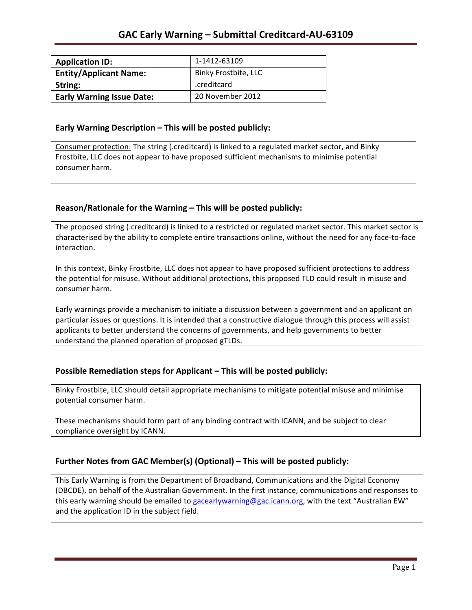| <b>Application ID:</b>           | 1-1412-63109         |
|----------------------------------|----------------------|
| <b>Entity/Applicant Name:</b>    | Binky Frostbite, LLC |
| String:                          | .creditcard          |
| <b>Early Warning Issue Date:</b> | 20 November 2012     |

### **Early Warning Description – This will be posted publicly:**

Consumer protection: The string (.creditcard) is linked to a regulated market sector, and Binky Frostbite, LLC does not appear to have proposed sufficient mechanisms to minimise potential consumer harm.

### Reason/Rationale for the Warning - This will be posted publicly:

The proposed string (.creditcard) is linked to a restricted or regulated market sector. This market sector is characterised by the ability to complete entire transactions online, without the need for any face-to-face interaction.

In this context, Binky Frostbite, LLC does not appear to have proposed sufficient protections to address the potential for misuse. Without additional protections, this proposed TLD could result in misuse and consumer harm.

Early warnings provide a mechanism to initiate a discussion between a government and an applicant on particular issues or questions. It is intended that a constructive dialogue through this process will assist applicants to better understand the concerns of governments, and help governments to better understand the planned operation of proposed gTLDs.

### **Possible Remediation steps for Applicant – This will be posted publicly:**

Binky Frostbite, LLC should detail appropriate mechanisms to mitigate potential misuse and minimise potential consumer harm.

These mechanisms should form part of any binding contract with ICANN, and be subject to clear compliance oversight by ICANN.

### Further Notes from GAC Member(s) (Optional) – This will be posted publicly:

This Early Warning is from the Department of Broadband, Communications and the Digital Economy (DBCDE), on behalf of the Australian Government. In the first instance, communications and responses to this early warning should be emailed to gacearlywarning@gac.icann.org, with the text "Australian EW" and the application ID in the subject field.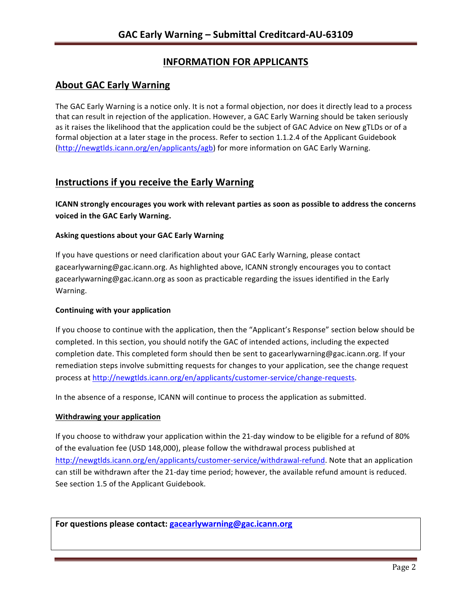# **INFORMATION FOR APPLICANTS**

## **About GAC Early Warning**

The GAC Early Warning is a notice only. It is not a formal objection, nor does it directly lead to a process that can result in rejection of the application. However, a GAC Early Warning should be taken seriously as it raises the likelihood that the application could be the subject of GAC Advice on New gTLDs or of a formal objection at a later stage in the process. Refer to section 1.1.2.4 of the Applicant Guidebook (http://newgtlds.icann.org/en/applicants/agb) for more information on GAC Early Warning.

## **Instructions if you receive the Early Warning**

**ICANN** strongly encourages you work with relevant parties as soon as possible to address the concerns **voiced in the GAC Early Warning.** 

### **Asking questions about your GAC Early Warning**

If you have questions or need clarification about your GAC Early Warning, please contact gacearlywarning@gac.icann.org. As highlighted above, ICANN strongly encourages you to contact gacearlywarning@gac.icann.org as soon as practicable regarding the issues identified in the Early Warning. 

### **Continuing with your application**

If you choose to continue with the application, then the "Applicant's Response" section below should be completed. In this section, you should notify the GAC of intended actions, including the expected completion date. This completed form should then be sent to gacearlywarning@gac.icann.org. If your remediation steps involve submitting requests for changes to your application, see the change request process at http://newgtlds.icann.org/en/applicants/customer-service/change-requests.

In the absence of a response, ICANN will continue to process the application as submitted.

### **Withdrawing your application**

If you choose to withdraw your application within the 21-day window to be eligible for a refund of 80% of the evaluation fee (USD 148,000), please follow the withdrawal process published at http://newgtlds.icann.org/en/applicants/customer-service/withdrawal-refund. Note that an application can still be withdrawn after the 21-day time period; however, the available refund amount is reduced. See section 1.5 of the Applicant Guidebook.

For questions please contact: gacearlywarning@gac.icann.org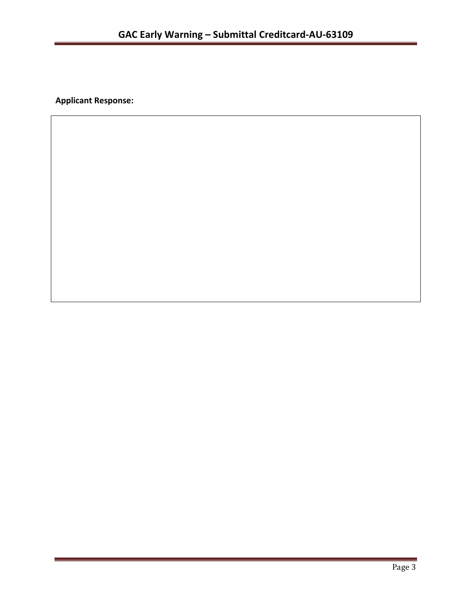**Applicant Response:**